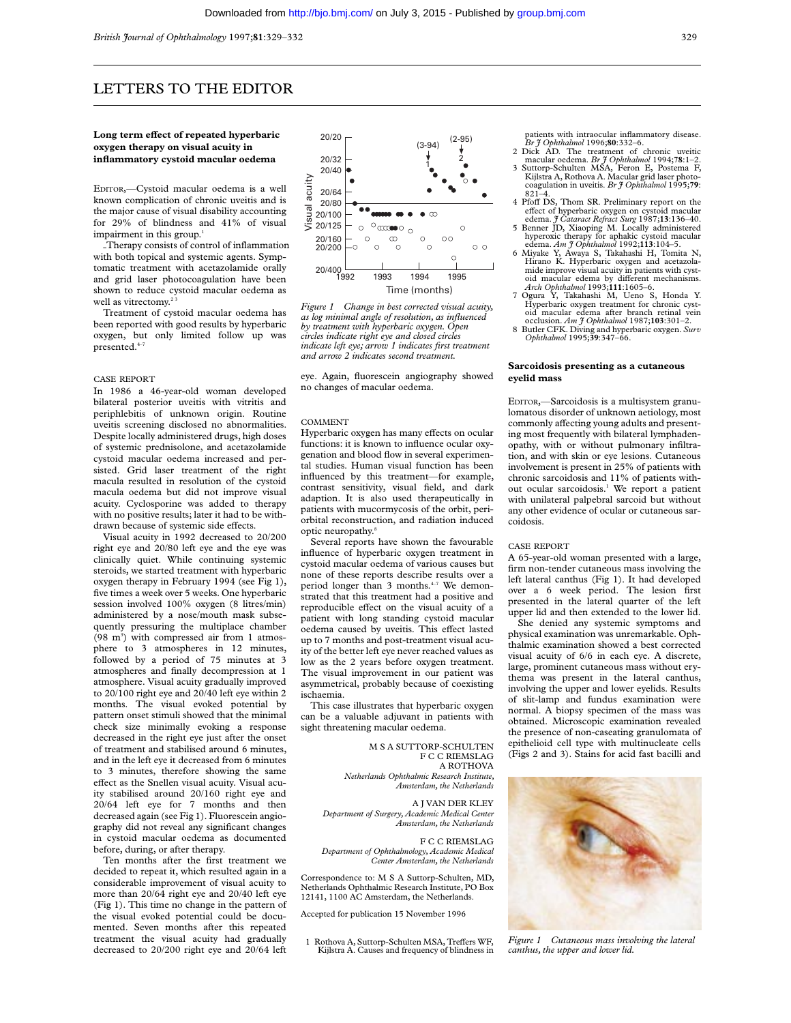## LETTERS TO THE EDITOR

## Long term effect of repeated hyperbaric **oxygen therapy on visual acuity in inflammatory cystoid macular oedema**

EDITOR,—Cystoid macular oedema is a well known complication of chronic uveitis and is the major cause of visual disability accounting for 29% of blindness and 41% of visual impairment in this group.<sup>1</sup>

±Therapy consists of control of inflammation with both topical and systemic agents. Symptomatic treatment with acetazolamide orally and grid laser photocoagulation have been shown to reduce cystoid macular oedema as well as vitrectomy.<sup>23</sup>

Treatment of cystoid macular oedema has been reported with good results by hyperbaric oxygen, but only limited follow up was presented.<sup>4-</sup>

### CASE REPORT

In 1986 a 46-year-old woman developed bilateral posterior uveitis with vitritis and periphlebitis of unknown origin. Routine uveitis screening disclosed no abnormalities. Despite locally administered drugs, high doses of systemic prednisolone, and acetazolamide cystoid macular oedema increased and persisted. Grid laser treatment of the right macula resulted in resolution of the cystoid macula oedema but did not improve visual acuity. Cyclosporine was added to therapy with no positive results; later it had to be withdrawn because of systemic side effects.

Visual acuity in 1992 decreased to 20/200 right eye and 20/80 left eye and the eye was clinically quiet. While continuing systemic steroids, we started treatment with hyperbaric oxygen therapy in February 1994 (see Fig 1), five times a week over 5 weeks. One hyperbaric session involved 100% oxygen (8 litres/min) administered by a nose/mouth mask subsequently pressuring the multiplace chamber (98 m<sup>3</sup>) with compressed air from 1 atmosphere to 3 atmospheres in 12 minutes, followed by a period of 75 minutes at 3 atmospheres and finally decompression at 1 atmosphere. Visual acuity gradually improved to 20/100 right eye and 20/40 left eye within 2 months. The visual evoked potential by pattern onset stimuli showed that the minimal check size minimally evoking a response decreased in the right eye just after the onset of treatment and stabilised around 6 minutes, and in the left eye it decreased from 6 minutes to 3 minutes, therefore showing the same effect as the Snellen visual acuity. Visual acuity stabilised around 20/160 right eye and 20/64 left eye for 7 months and then decreased again (see Fig 1). Fluorescein angiography did not reveal any significant changes in cystoid macular oedema as documented before, during, or after therapy.

Ten months after the first treatment we decided to repeat it, which resulted again in a considerable improvement of visual acuity to more than 20/64 right eye and 20/40 left eye (Fig 1). This time no change in the pattern of the visual evoked potential could be documented. Seven months after this repeated treatment the visual acuity had gradually decreased to 20/200 right eye and 20/64 left



*Figure 1 Change in best corrected visual acuity, as log minimal angle of resolution, as influenced by treatment with hyperbaric oxygen. Open circles indicate right eye and closed circles indicate left eye; arrow 1 indicates first treatment and arrow 2 indicates second treatment.*

eye. Again, fluorescein angiography showed no changes of macular oedema.

### COMMENT

Hyperbaric oxygen has many effects on ocular functions: it is known to influence ocular oxygenation and blood flow in several experimental studies. Human visual function has been influenced by this treatment—for example, contrast sensitivity, visual field, and dark adaption. It is also used therapeutically in patients with mucormycosis of the orbit, periorbital reconstruction, and radiation induced optic neuropathy.<sup>8</sup>

Several reports have shown the favourable influence of hyperbaric oxygen treatment in cystoid macular oedema of various causes but none of these reports describe results over a period longer than 3 months. $4-7$  We demonstrated that this treatment had a positive and reproducible effect on the visual acuity of a patient with long standing cystoid macular oedema caused by uveitis. This effect lasted up to 7 months and post-treatment visual acuity of the better left eye never reached values as low as the 2 years before oxygen treatment. The visual improvement in our patient was asymmetrical, probably because of coexisting ischaemia.

This case illustrates that hyperbaric oxygen can be a valuable adjuvant in patients with sight threatening macular oedema.

> M S A SUTTORP-SCHULTEN F C C RIEMSLAG A ROTHOVA *Netherlands Ophthalmic Research Institute, Amsterdam, the Netherlands*

A J VAN DER KLEY *Department of Surgery, Academic Medical Center Amsterdam, the Netherlands*

F C C RIEMSLAG *Department of Ophthalmology, Academic Medical Center Amsterdam, the Netherlands*

Correspondence to: M S A Suttorp-Schulten, MD, Netherlands Ophthalmic Research Institute, PO Box 12141, 1100 AC Amsterdam, the Netherlands.

Accepted for publication 15 November 1996

1 Rothova A, Suttorp-Schulten MSA, Treffers WF, Kijlstra A. Causes and frequency of blindness in

patients with intraocular inflammatory disease. *Br J Ophthalmol* 1996;**80**:332–6.

- 2 Dick AD. The treatment of chronic uveitic
- macular oedema. *Br J Ophthalmol* 1994;78:1–2.<br>3 Suttorp-Schulten MSA, Feron E, Postema F,<br>Kijlstra A, Rothova A. Macular grid laser photocoagulation in uveitis. *Br J Ophthalmol* 1995;**79**: 821–4.
- 4 Pfoff DS, Thom SR. Preliminary report on the effect of hyperbaric oxygen on cystoid macular<br>edema. *I Cataract Refract Surg* 1987;13:136-40. 5 Benner JD, Xiaoping M. Locally administered
- hyperoxic therapy for aphakic cystoid macular<br>edema. *Am J Ophthalmol* 1992;**113**:104–5.<br>6 Miyake Y, Awaya S, Takahashi H, Tomita N,<br>Hirano K. Hyperbaric oxygen and acetazola-
- mide improve visual acuity in patients with cystoid macular edema by different mechanisms.<br>*Arch Ophthalmol* 1993;111:1605–6.
- 7 Ogura Y, Takahashi M, Ueno S, Honda Y. Hyperbaric oxygen treatment for chronic cystoid macular edema after branch retinal vein occlusion. *Am J Ophthalmol* 1987;**103**:301–2.
- 8 Butler CFK. Diving and hyperbaric oxygen. *Surv Ophthalmol* 1995;**39**:347–66.

### **Sarcoidosis presenting as a cutaneous eyelid mass**

EDITOR,—Sarcoidosis is a multisystem granulomatous disorder of unknown aetiology, most commonly affecting young adults and presenting most frequently with bilateral lymphadenopathy, with or without pulmonary infiltration, and with skin or eye lesions. Cutaneous involvement is present in 25% of patients with chronic sarcoidosis and 11% of patients without ocular sarcoidosis.1 We report a patient with unilateral palpebral sarcoid but without any other evidence of ocular or cutaneous sarcoidosis.

### CASE REPORT

A 65-year-old woman presented with a large, firm non-tender cutaneous mass involving the left lateral canthus (Fig 1). It had developed over a 6 week period. The lesion first presented in the lateral quarter of the left upper lid and then extended to the lower lid.

She denied any systemic symptoms and physical examination was unremarkable. Ophthalmic examination showed a best corrected visual acuity of 6/6 in each eye. A discrete, large, prominent cutaneous mass without erythema was present in the lateral canthus, involving the upper and lower eyelids. Results of slit-lamp and fundus examination were normal. A biopsy specimen of the mass was obtained. Microscopic examination revealed the presence of non-caseating granulomata of epithelioid cell type with multinucleate cells (Figs 2 and 3). Stains for acid fast bacilli and



*Figure 1 Cutaneous mass involving the lateral canthus, the upper and lower lid.*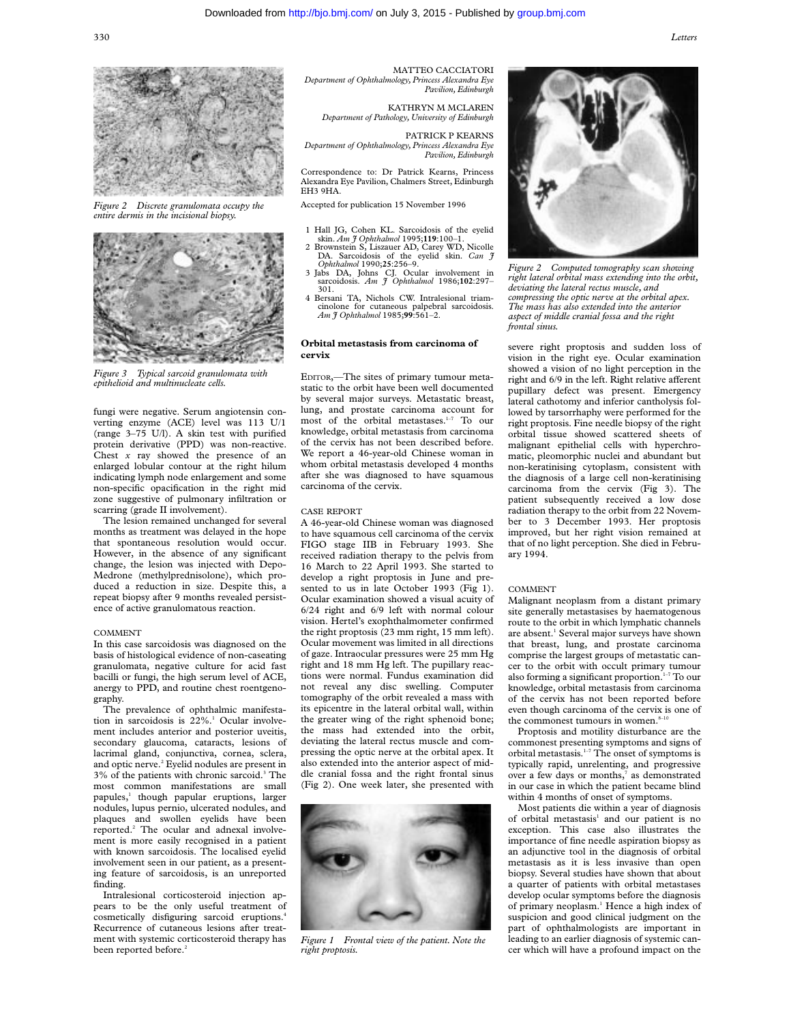

*Figure 2 Discrete granulomata occupy the entire dermis in the incisional biopsy.*



*Figure 3 Typical sarcoid granulomata with epithelioid and multinucleate cells.*

fungi were negative. Serum angiotensin converting enzyme (ACE) level was 113 U/1 (range 3–75 U/l). A skin test with purified protein derivative (PPD) was non-reactive. Chest *x* ray showed the presence of an enlarged lobular contour at the right hilum indicating lymph node enlargement and some non-specific opacification in the right mid zone suggestive of pulmonary infiltration or scarring (grade II involvement).

The lesion remained unchanged for several months as treatment was delayed in the hope that spontaneous resolution would occur. However, in the absence of any significant change, the lesion was injected with Depo-Medrone (methylprednisolone), which produced a reduction in size. Despite this, a repeat biopsy after 9 months revealed persistence of active granulomatous reaction.

### COMMENT

In this case sarcoidosis was diagnosed on the basis of histological evidence of non-caseating granulomata, negative culture for acid fast bacilli or fungi, the high serum level of ACE, anergy to PPD, and routine chest roentgenography.

The prevalence of ophthalmic manifestation in sarcoidosis is  $22\%$ .<sup>1</sup> Ocular involvement includes anterior and posterior uveitis, secondary glaucoma, cataracts, lesions of lacrimal gland, conjunctiva, cornea, sclera, and optic nerve.<sup>2</sup> Eyelid nodules are present in 3% of the patients with chronic sarcoid.3 The most common manifestations are small papules,<sup>1</sup> though papular eruptions, larger nodules, lupus pernio, ulcerated nodules, and plaques and swollen eyelids have been reported.2 The ocular and adnexal involvement is more easily recognised in a patient with known sarcoidosis. The localised eyelid involvement seen in our patient, as a presenting feature of sarcoidosis, is an unreported finding.

Intralesional corticosteroid injection appears to be the only useful treatment of cosmetically disfiguring sarcoid eruptions.4 Recurrence of cutaneous lesions after treatment with systemic corticosteroid therapy has been reported before.<sup>2</sup>

MATTEO CACCIATORI *Department of Ophthalmology, Princess Alexandra Eye Pavilion, Edinburgh*

KATHRYN M MCLAREN *Department of Pathology, University of Edinburgh*

PATRICK P KEARNS *Department of Ophthalmology, Princess Alexandra Eye Pavilion, Edinburgh*

Correspondence to: Dr Patrick Kearns, Princess Alexandra Eye Pavilion, Chalmers Street, Edinburgh EH3 9HA.

Accepted for publication 15 November 1996

- 1 Hall JG, Cohen KL. Sarcoidosis of the eyelid skin. Am J Ophthalmol 1995;119:100-1.
- skin. *Am J Ophthalmol* 1995;**119**:100–1. 2 Brownstein S, Liszauer AD, Carey WD, Nicolle DA. Sarcoidosis of the eyelid skin. *Can J*
- *Ophthalmol* 1990;**25**:256–9. 3 Jabs DA, Johns CJ. Ocular involvement in sarcoidosis. *Am J Ophthalmol* 1986;**102**:297–
- 301. 4 Bersani TA, Nichols CW. Intralesional triamcinolone for cutaneous palpebral sarcoidosis. *Am J Ophthalmol* 1985;**99**:561–2.

### **Orbital metastasis from carcinoma of cervix**

EDITOR,—The sites of primary tumour metastatic to the orbit have been well documented by several major surveys. Metastatic breast, lung, and prostate carcinoma account for most of the orbital metastases.<sup>1-7</sup> To our knowledge, orbital metastasis from carcinoma of the cervix has not been described before. We report a 46-year-old Chinese woman in whom orbital metastasis developed 4 months after she was diagnosed to have squamous carcinoma of the cervix.

#### CASE REPORT

A 46-year-old Chinese woman was diagnosed to have squamous cell carcinoma of the cervix FIGO stage IIB in February 1993. She received radiation therapy to the pelvis from 16 March to 22 April 1993. She started to develop a right proptosis in June and presented to us in late October 1993 (Fig 1). Ocular examination showed a visual acuity of 6/24 right and 6/9 left with normal colour vision. Hertel's exophthalmometer confirmed the right proptosis (23 mm right, 15 mm left). Ocular movement was limited in all directions of gaze. Intraocular pressures were 25 mm Hg right and 18 mm Hg left. The pupillary reactions were normal. Fundus examination did not reveal any disc swelling. Computer tomography of the orbit revealed a mass with its epicentre in the lateral orbital wall, within the greater wing of the right sphenoid bone; the mass had extended into the orbit, deviating the lateral rectus muscle and compressing the optic nerve at the orbital apex. It also extended into the anterior aspect of middle cranial fossa and the right frontal sinus (Fig 2). One week later, she presented with



*Figure 1 Frontal view of the patient. Note the right proptosis.*



*Figure 2 Computed tomography scan showing right lateral orbital mass extending into the orbit, deviating the lateral rectus muscle, and compressing the optic nerve at the orbital apex. The mass has also extended into the anterior aspect of middle cranial fossa and the right frontal sinus.*

severe right proptosis and sudden loss of vision in the right eye. Ocular examination showed a vision of no light perception in the right and  $6/9$  in the left. Right relative afferent pupillary defect was present. Emergency lateral cathotomy and inferior cantholysis followed by tarsorrhaphy were performed for the right proptosis. Fine needle biopsy of the right orbital tissue showed scattered sheets of malignant epithelial cells with hyperchromatic, pleomorphic nuclei and abundant but non-keratinising cytoplasm, consistent with the diagnosis of a large cell non-keratinising carcinoma from the cervix (Fig 3). The patient subsequently received a low dose radiation therapy to the orbit from 22 November to 3 December 1993. Her proptosis improved, but her right vision remained at that of no light perception. She died in February 1994.

### **COMMENT**

Malignant neoplasm from a distant primary site generally metastasises by haematogenous route to the orbit in which lymphatic channels are absent.<sup>1</sup> Several major surveys have shown that breast, lung, and prostate carcinoma comprise the largest groups of metastatic cancer to the orbit with occult primary tumour also forming a significant proportion.<sup>1-7</sup> To our knowledge, orbital metastasis from carcinoma of the cervix has not been reported before even though carcinoma of the cervix is one of the commonest tumours in women.<sup>8-10</sup>

Proptosis and motility disturbance are the commonest presenting symptoms and signs of orbital metastasis.<sup>1-7</sup> The onset of symptoms is typically rapid, unrelenting, and progressive over a few days or months, $7$  as demonstrated in our case in which the patient became blind within 4 months of onset of symptoms.

Most patients die within a year of diagnosis of orbital metastasis<sup>1</sup> and our patient is no exception. This case also illustrates the importance of fine needle aspiration biopsy as an adjunctive tool in the diagnosis of orbital metastasis as it is less invasive than open biopsy. Several studies have shown that about a quarter of patients with orbital metastases develop ocular symptoms before the diagnosis of primary neoplasm.<sup>1</sup> Hence a high index of suspicion and good clinical judgment on the part of ophthalmologists are important in leading to an earlier diagnosis of systemic cancer which will have a profound impact on the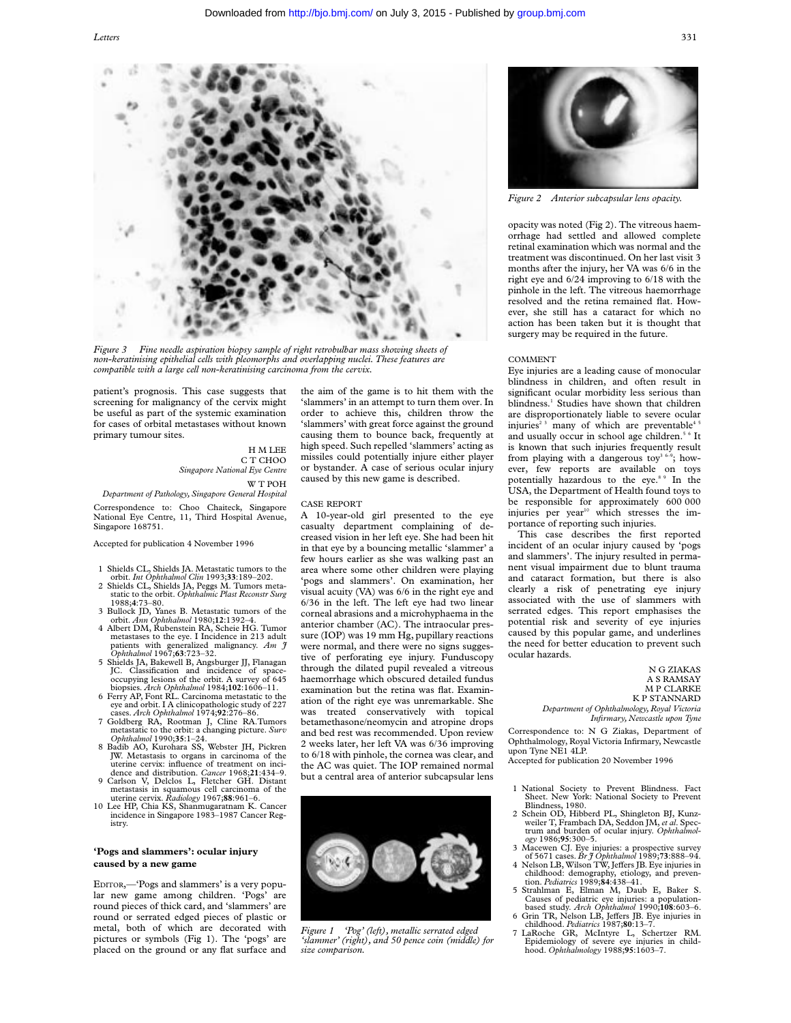

*Figure 3 Fine needle aspiration biopsy sample of right retrobulbar mass showing sheets of non-keratinising epithelial cells with pleomorphs and overlapping nuclei. These features are compatible with a large cell non-keratinising carcinoma from the cervix.*

patient's prognosis. This case suggests that screening for malignancy of the cervix might be useful as part of the systemic examination for cases of orbital metastases without known primary tumour sites.

> H M LEE C T CHOO *Singapore National Eye Centre* W T POH

*Department of Pathology, Singapore General Hospital*

Correspondence to: Choo Chaiteck, Singapore National Eye Centre, 11, Third Hospital Avenue, Singapore 168751.

#### Accepted for publication 4 November 1996

- 1 Shields CL, Shields JA. Metastatic tumors to the orbit. *Int Ophthalmol Clin* 1993;**33**:189–202.
- 2 Shields CL, Shields JA, Peggs M. Tumors metastatic to the orbit. *Ophthalmic Plast Reconstr Surg*
- 1988;**4**:73–80. 3 Bullock JD, Yanes B. Metastatic tumors of the orbit. *Ann Ophthalmol* 1980;**12**:1392–4.
- 4 Albert DM, Rubenstein RA, Scheie HG. Tumor metastases to the eye. I Incidence in 213 adult patients with generalized malignancy. *Am J Ophthalmol* 1967;**63**:723–32.
- 5 Shields JA, Bakewell B, Angsburger JJ, Flanagan JC. Classification and incidence of space-occupying lesions of the orbit. A survey of 645 biopsies. *Arch Ophthalmol* 1984;**102**:1606–11.
- 6 Ferry AP, Font RL. Carcinoma metastatic to the eye and orbit. I A clinicopathologic study of 227 cases. *Arch Ophthalmol* 1974;**92**:276–86.
- 7 Goldberg RA, Rootman J, Cline RA.Tumors metastatic to the orbit: a changing picture. *Surv Ophthalmol* 1990;**35**:1–24.
- 8 Badib AO, Kurohara SS, Webster JH, Pickren JW. Metastasis to organs in carcinoma of the uterine cervix: influence of treatment on inci-<br>dence and distribution. *Cancer* 1968:21:434-9. dence and distribution. *Cancer* 1968;**21**:434–9. 9 Carlson V, Delclos L, Fletcher GH. Distant
- metastasis in squamous cell carcinoma of the uterine cervix. *Radiology* 1967;**88**:961–6.
- 10 Lee HP, Chia KS, Shanmugaratnam K. Cancer incidence in Singapore 1983–1987 Cancer Registry.

## **'Pogs and slammers': ocular injury caused by a new game**

EDITOR,—'Pogs and slammers' is a very popular new game among children. 'Pogs' are round pieces of thick card, and 'slammers' are round or serrated edged pieces of plastic or metal, both of which are decorated with pictures or symbols (Fig 1). The 'pogs' are placed on the ground or any flat surface and the aim of the game is to hit them with the 'slammers' in an attempt to turn them over. In order to achieve this, children throw the 'slammers' with great force against the ground causing them to bounce back, frequently at high speed. Such repelled 'slammers' acting as missiles could potentially injure either player or bystander. A case of serious ocular injury caused by this new game is described.

### CASE REPORT

A 10-year-old girl presented to the eye casualty department complaining of decreased vision in her left eye. She had been hit in that eye by a bouncing metallic 'slammer' a few hours earlier as she was walking past an area where some other children were playing 'pogs and slammers'. On examination, her visual acuity (VA) was 6/6 in the right eye and 6/36 in the left. The left eye had two linear corneal abrasions and a microhyphaema in the anterior chamber (AC). The intraocular pressure (IOP) was 19 mm Hg, pupillary reactions were normal, and there were no signs suggestive of perforating eye injury. Funduscopy through the dilated pupil revealed a vitreous haemorrhage which obscured detailed fundus examination but the retina was flat. Examination of the right eye was unremarkable. She was treated conservatively with topical betamethasone/neomycin and atropine drops and bed rest was recommended. Upon review 2 weeks later, her left VA was 6/36 improving to 6/18 with pinhole, the cornea was clear, and the AC was quiet. The IOP remained normal but a central area of anterior subcapsular lens



*Figure 1 'Pog' (left), metallic serrated edged 'slammer' (right), and 50 pence coin (middle) for size comparison.*



*Figure 2 Anterior subcapsular lens opacity.*

opacity was noted (Fig 2). The vitreous haemorrhage had settled and allowed complete retinal examination which was normal and the treatment was discontinued. On her last visit 3 months after the injury, her VA was 6/6 in the right eye and 6/24 improving to 6/18 with the pinhole in the left. The vitreous haemorrhage resolved and the retina remained flat. However, she still has a cataract for which no action has been taken but it is thought that surgery may be required in the future.

### COMMENT

Eye injuries are a leading cause of monocular blindness in children, and often result in significant ocular morbidity less serious than blindness.<sup>1</sup> Studies have shown that children are disproportionately liable to severe ocular injuries<sup>23</sup> many of which are preventable<sup>45</sup> and usually occur in school age children.<sup>5 6</sup> It is known that such injuries frequently result from playing with a dangerous toy<sup>3 6–9</sup>; however, few reports are available on toys potentially hazardous to the eye.<sup>89</sup> In the USA, the Department of Health found toys to be responsible for approximately 600 000 injuries per year<sup>10</sup> which stresses the importance of reporting such injuries.

This case describes the first reported incident of an ocular injury caused by 'pogs and slammers'. The injury resulted in permanent visual impairment due to blunt trauma and cataract formation, but there is also clearly a risk of penetrating eye injury associated with the use of slammers with serrated edges. This report emphasises the potential risk and severity of eye injuries caused by this popular game, and underlines the need for better education to prevent such ocular hazards.

> N G ZIAKAS A S RAMSAY M P CLARKE K P STANNARD *Department of Ophthalmology, Royal Victoria Infirmary, Newcastle upon Tyne*

Correspondence to: N G Ziakas, Department of Ophthalmology, Royal Victoria Infirmary, Newcastle upon Tyne NE1 4LP.

Accepted for publication 20 November 1996

- 1 National Society to Prevent Blindness. Fact Sheet. New York: National Society to Prevent Blindness, 1980.
- 2 Schein OD, Hibberd PL, Shingleton BJ, Kunz-weiler T, Frambach DA, Seddon JM, *et al*. Spectrum and burden of ocular injury. *Ophthalmol- ogy* 1986;**95**:300–5.
- 3 Macewen CJ. Eye injuries: a prospective survey of 5671 cases. *Br J Ophthalmol* 1989;**73**:888–94.
- 4 Nelson LB, Wilson TW, Jeffers JB. Eye injuries in
- childhood: demography, etiology, and preven-tion. *Pediatrics* 1989;**84**:438–41. 5 Strahlman E, Elman M, Daub E, Baker S. Causes of pediatric eye injuries: a population-based study. *Arch Ophthalmol* 1990;**108**:603–6.
- 6 Grin TR, Nelson LB, Jeffers JB. Eye injuries in childhood. *Pediatrics* 1987;80:13-7.
- 7 LaRoche GR, McIntyre L, Schertzer RM. Epidemiology of severe eye injuries in child-hood. *Ophthalmology* 1988;**95**:1603–7.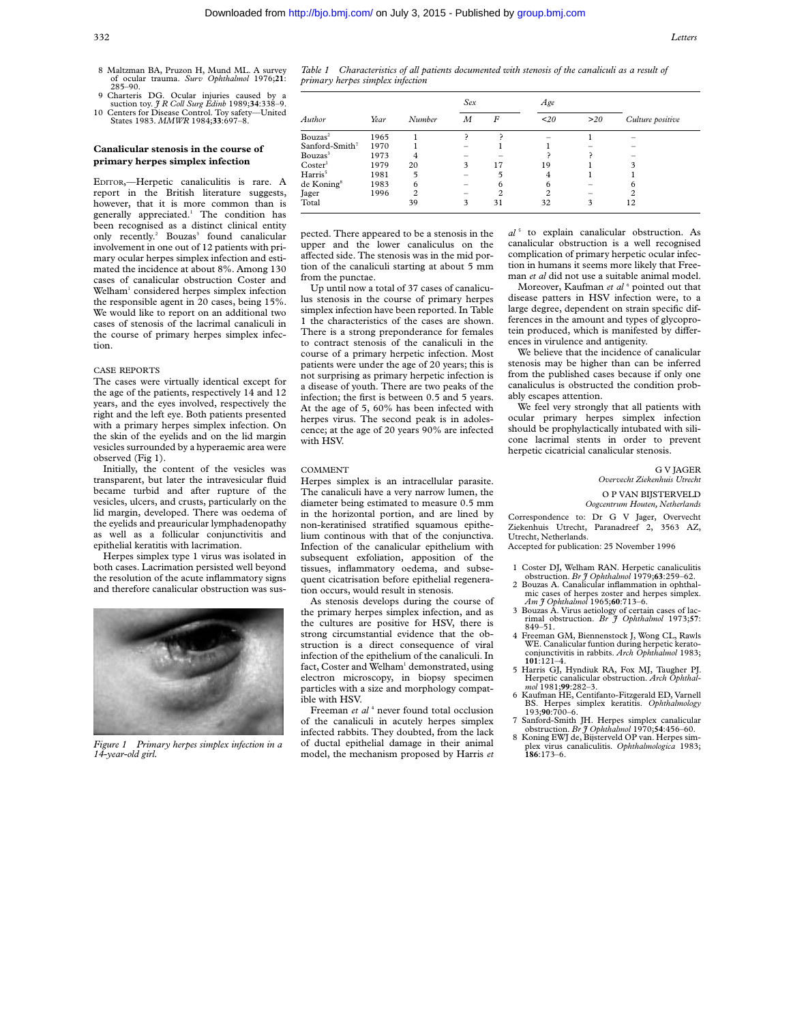- 8 Maltzman BA, Pruzon H, Mund ML. A survey of ocular trauma. *Surv Ophthalmol* 1976;**21**: 285–90. 9 Charteris DG. Ocular injuries caused by a
- suction toy. *J R Coll Surg Edinb* 1989;**34**:338–9. 10 Centers for Disease Control. Toy safety—United
- States 1983. *MMWR* 1984;**33**:697–8.

## **Canalicular stenosis in the course of primary herpes simplex infection**

EDITOR,—Herpetic canaliculitis is rare. A report in the British literature suggests, however, that it is more common than is generally appreciated.<sup>1</sup> The condition has been recognised as a distinct clinical entity only recently.<sup>2</sup> Bouzas<sup>3</sup> found canalicular involvement in one out of 12 patients with primary ocular herpes simplex infection and estimated the incidence at about 8%. Among 130 cases of canalicular obstruction Coster and Welham<sup>1</sup> considered herpes simplex infection the responsible agent in 20 cases, being 15%. We would like to report on an additional two cases of stenosis of the lacrimal canaliculi in the course of primary herpes simplex infection.

### CASE REPORTS

The cases were virtually identical except for the age of the patients, respectively 14 and 12 years, and the eyes involved, respectively the right and the left eye. Both patients presented with a primary herpes simplex infection. On the skin of the eyelids and on the lid margin vesicles surrounded by a hyperaemic area were observed (Fig 1).

Initially, the content of the vesicles was transparent, but later the intravesicular fluid became turbid and after rupture of the vesicles, ulcers, and crusts, particularly on the lid margin, developed. There was oedema of the eyelids and preauricular lymphadenopathy as well as a follicular conjunctivitis and epithelial keratitis with lacrimation.

Herpes simplex type 1 virus was isolated in both cases. Lacrimation persisted well beyond the resolution of the acute inflammatory signs and therefore canalicular obstruction was sus-



*Figure 1 Primary herpes simplex infection in a 14-year-old girl.*

*Table 1 Characteristics of all patients documented with stenosis of the canaliculi as a result of primary herpes simplex infection*

| Author                     | Year | Number | Sex |    | Age            |     |                  |
|----------------------------|------|--------|-----|----|----------------|-----|------------------|
|                            |      |        | М   | F  | $20$           | >20 | Culture positive |
| Bouzas <sup>2</sup>        | 1965 |        |     |    |                |     |                  |
| Sanford-Smith <sup>7</sup> | 1970 |        |     |    |                |     |                  |
| Bouzas <sup>3</sup>        | 1973 | 4      |     |    |                |     |                  |
| $\text{Coster}^1$          | 1979 | 20     | 3   | 17 | 19             |     | 3                |
| Harris <sup>5</sup>        | 1981 | 5      |     |    | 4              |     |                  |
| de Koning <sup>8</sup>     | 1983 | 6      |     | 6  | 6              |     | h                |
| Jager                      | 1996 | ◠      |     | ◠  | $\overline{c}$ |     | ◠                |
| Total                      |      | 39     | 3   | 31 | 32             | 3   | 12               |

pected. There appeared to be a stenosis in the upper and the lower canaliculus on the affected side. The stenosis was in the mid portion of the canaliculi starting at about 5 mm from the punctae.

Up until now a total of 37 cases of canaliculus stenosis in the course of primary herpes simplex infection have been reported. In Table 1 the characteristics of the cases are shown. There is a strong preponderance for females to contract stenosis of the canaliculi in the course of a primary herpetic infection. Most patients were under the age of 20 years; this is not surprising as primary herpetic infection is a disease of youth. There are two peaks of the infection; the first is between 0.5 and 5 years. At the age of 5, 60% has been infected with herpes virus. The second peak is in adolescence; at the age of 20 years 90% are infected with HSV.

#### COMMENT

Herpes simplex is an intracellular parasite. The canaliculi have a very narrow lumen, the diameter being estimated to measure 0.5 mm in the horizontal portion, and are lined by non-keratinised stratified squamous epithelium continous with that of the conjunctiva. Infection of the canalicular epithelium with subsequent exfoliation, apposition of the tissues, inflammatory oedema, and subsequent cicatrisation before epithelial regeneration occurs, would result in stenosis.

As stenosis develops during the course of the primary herpes simplex infection, and as the cultures are positive for HSV, there is strong circumstantial evidence that the obstruction is a direct consequence of viral infection of the epithelium of the canaliculi. In fact, Coster and Welham<sup>1</sup> demonstrated, using electron microscopy, in biopsy specimen particles with a size and morphology compatible with HSV.

Freeman et al<sup>4</sup> never found total occlusion of the canaliculi in acutely herpes simplex infected rabbits. They doubted, from the lack of ductal epithelial damage in their animal model, the mechanism proposed by Harris *et*

*al* <sup>5</sup> to explain canalicular obstruction. As canalicular obstruction is a well recognised complication of primary herpetic ocular infection in humans it seems more likely that Freeman *et al* did not use a suitable animal model.

Moreover, Kaufman et al<sup>6</sup> pointed out that disease patters in HSV infection were, to a large degree, dependent on strain specific differences in the amount and types of glycoprotein produced, which is manifested by differences in virulence and antigenity.

We believe that the incidence of canalicular stenosis may be higher than can be inferred from the published cases because if only one canaliculus is obstructed the condition probably escapes attention.

We feel very strongly that all patients with ocular primary herpes simplex infection should be prophylactically intubated with silicone lacrimal stents in order to prevent herpetic cicatricial canalicular stenosis.

> G V JAGER *Overvecht Ziekenhuis Utrecht*

O P VAN BIJSTERVELD

*Oogcentrum Houten, Netherlands*

Correspondence to: Dr G V Jager, Overvecht Ziekenhuis Utrecht, Paranadreef 2, 3563 AZ, Utrecht, Netherlands.

Accepted for publication: 25 November 1996

- 1 Coster DJ, Welham RAN. Herpetic canaliculitis obstruction. *Br J Ophthalmol* 1979;**63**:259–62.
- 2 Bouzas A. Canalicular inflammation in ophthal-mic cases of herpes zoster and herpes simplex. *Am J Ophthalmol* 1965;**60**:713–6.
- 3 Bouzas A. Virus aetiology of certain cases of lacrimal obstruction. *Br J Ophthalmol* 1973;**57**: 849–51.
- 4 Freeman GM, Biennenstock J, Wong CL, Rawls WE. Canalicular funtion during herpetic keratoconjunctivitis in rabbits. *Arch Ophthalmol* 1983; **101**:121–4.
- 5 Harris GJ, Hyndiuk RA, Fox MJ, Taugher PJ. Herpetic canalicular obstruction. *Arch Ophthal-*
- *mol* 1981;**99**:282–3. 6 Kaufman HE, Centifanto-Fitzgerald ED, Varnell BS. Herpes simplex keratitis. *Ophthalmology* 193;**90**:700–6.
- 7 Sanford-Smith JH. Herpes simplex canalicular obstruction. *Br J Ophthalmol* 1970;**54**:456–60. 8 Koning EWJ de, Bijsterveld OP van. Herpes sim-
- plex virus canaliculitis. *Ophthalmologica* 1983; **186**:173–6.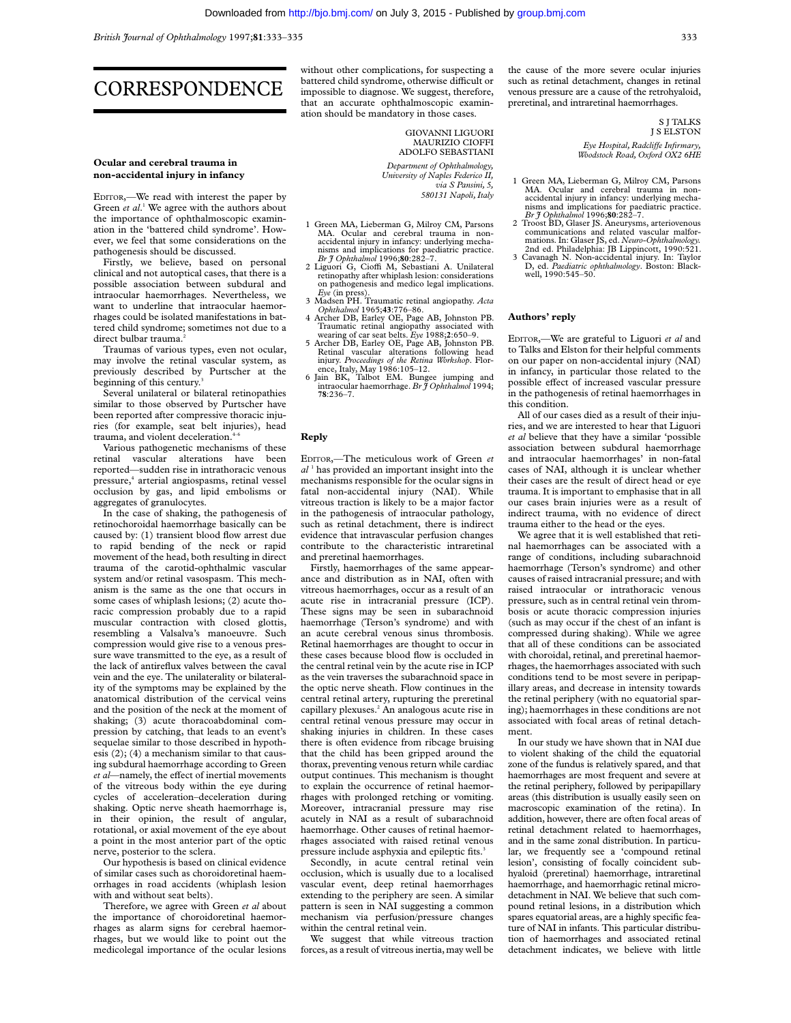## **CORRESPONDENCE**

### **Ocular and cerebral trauma in non-accidental injury in infancy**

EDITOR,—We read with interest the paper by Green *et al*. <sup>1</sup> We agree with the authors about the importance of ophthalmoscopic examination in the 'battered child syndrome'. However, we feel that some considerations on the pathogenesis should be discussed.

Firstly, we believe, based on personal clinical and not autoptical cases, that there is a possible association between subdural and intraocular haemorrhages. Nevertheless, we want to underline that intraocular haemorrhages could be isolated manifestations in battered child syndrome; sometimes not due to a direct bulbar trauma.<sup>2</sup>

Traumas of various types, even not ocular, may involve the retinal vascular system, as previously described by Purtscher at the beginning of this century.

Several unilateral or bilateral retinopathies similar to those observed by Purtscher have been reported after compressive thoracic injuries (for example, seat belt injuries), head trauma, and violent deceleration.<sup>4</sup>

Various pathogenetic mechanisms of these retinal vascular alterations have been reported—sudden rise in intrathoracic venous pressure,<sup>4</sup> arterial angiospasms, retinal vessel occlusion by gas, and lipid embolisms or aggregates of granulocytes.

In the case of shaking, the pathogenesis of retinochoroidal haemorrhage basically can be caused by: (1) transient blood flow arrest due to rapid bending of the neck or rapid movement of the head, both resulting in direct trauma of the carotid-ophthalmic vascular system and/or retinal vasospasm. This mechanism is the same as the one that occurs in some cases of whiplash lesions; (2) acute thoracic compression probably due to a rapid muscular contraction with closed glottis, resembling a Valsalva's manoeuvre. Such compression would give rise to a venous pressure wave transmitted to the eye, as a result of the lack of antireflux valves between the caval vein and the eye. The unilaterality or bilaterality of the symptoms may be explained by the anatomical distribution of the cervical veins and the position of the neck at the moment of shaking; (3) acute thoracoabdominal compression by catching, that leads to an event's sequelae similar to those described in hypothesis (2); (4) a mechanism similar to that causing subdural haemorrhage according to Green et al—namely, the effect of inertial movements of the vitreous body within the eye during cycles of acceleration–deceleration during shaking. Optic nerve sheath haemorrhage is, in their opinion, the result of angular, rotational, or axial movement of the eye about a point in the most anterior part of the optic nerve, posterior to the sclera.

Our hypothesis is based on clinical evidence of similar cases such as choroidoretinal haemorrhages in road accidents (whiplash lesion with and without seat belts).

Therefore, we agree with Green *et al* about the importance of choroidoretinal haemorrhages as alarm signs for cerebral haemorrhages, but we would like to point out the medicolegal importance of the ocular lesions without other complications, for suspecting a battered child syndrome, otherwise difficult or impossible to diagnose. We suggest, therefore, that an accurate ophthalmoscopic examination should be mandatory in those cases.

> GIOVANNI LIGUORI MAURIZIO CIOFFI ADOLFO SEBASTIANI

*Department of Ophthalmology, University of Naples Federico II, via S Pansini, 5, 580131 Napoli, Italy*

- 1 Green MA, Lieberman G, Milroy CM, Parsons MA. Ocular and cerebral trauma in non-accidental injury in infancy: underlying mechanisms and implications for paediatric practice. *Br J Ophthalmol* 1996;**80**:282–7.
- 2 Liguori G, Cioffi M, Sebastiani A. Unilateral retinopathy after whiplash lesion: considerations on pathogenesis and medico legal implications. *Eye* (in press). 3 Madsen PH. Traumatic retinal angiopathy. *Acta*
- 
- *Ophthalmol* 1965;**43**:776–86. 4 Archer DB, Earley OE, Page AB, Johnston PB. Traumatic retinal angiopathy associated with wearing of car seat belts. *Eye* 1988;**2**:650–9.
- 5 Archer DB, Earley OE, Page AB, Johnston PB. Retinal vascular alterations following head
- injury. *Proceedings of the Retina Workshop*. Flor-ence, Italy, May 1986:105–12. 6 Jain BK, Talbot EM. Bungee jumping and intraocular haemorrhage. *Br J Ophthalmol* 1994; **78**:236–7.

### **Reply**

EDITOR,—The meticulous work of Green *et al* <sup>1</sup> has provided an important insight into the mechanisms responsible for the ocular signs in fatal non-accidental injury (NAI). While vitreous traction is likely to be a major factor in the pathogenesis of intraocular pathology, such as retinal detachment, there is indirect evidence that intravascular perfusion changes contribute to the characteristic intraretinal and preretinal haemorrhages.

Firstly, haemorrhages of the same appearance and distribution as in NAI, often with vitreous haemorrhages, occur as a result of an acute rise in intracranial pressure (ICP). These signs may be seen in subarachnoid haemorrhage (Terson's syndrome) and with an acute cerebral venous sinus thrombosis. Retinal haemorrhages are thought to occur in these cases because blood flow is occluded in the central retinal vein by the acute rise in ICP as the vein traverses the subarachnoid space in the optic nerve sheath. Flow continues in the central retinal artery, rupturing the preretinal capillary plexuses.2 An analogous acute rise in central retinal venous pressure may occur in shaking injuries in children. In these cases there is often evidence from ribcage bruising that the child has been gripped around the thorax, preventing venous return while cardiac output continues. This mechanism is thought to explain the occurrence of retinal haemorrhages with prolonged retching or vomiting. Moreover, intracranial pressure may rise acutely in NAI as a result of subarachnoid haemorrhage. Other causes of retinal haemorrhages associated with raised retinal venous pressure include asphyxia and epileptic fits.<sup>3</sup>

Secondly, in acute central retinal vein occlusion, which is usually due to a localised vascular event, deep retinal haemorrhages extending to the periphery are seen. A similar pattern is seen in NAI suggesting a common mechanism via perfusion/pressure changes within the central retinal vein.

We suggest that while vitreous traction forces, as a result of vitreous inertia, may well be the cause of the more severe ocular injuries such as retinal detachment, changes in retinal venous pressure are a cause of the retrohyaloid, preretinal, and intraretinal haemorrhages.

> S J TALKS J S ELSTON

*Eye Hospital, RadcliVe Infirmary, Woodstock Road, Oxford OX2 6HE*

- 1 Green MA, Lieberman G, Milroy CM, Parsons MA. Ocular and cerebral trauma in non-accidental injury in infancy: underlying mechanisms and implications for paediatric practice. *Br J Ophthalmol* 1996;**80**:282–7.
- 2 Troost BD, Glaser JS. Aneurysms, arteriovenous communications and related vascular malformations. In: Glaser JS, ed. *Neuro-Ophthalmology.* 2nd ed. Philadelphia: JB Lippincott, 1990:521.
- 3 Cavanagh N. Non-accidental injury. In: Taylor D, ed. *Paediatric ophthalmology*. Boston: Blackwell, 1990:545–50.

## **Authors' reply**

EDITOR,—We are grateful to Liguori *et al* and to Talks and Elston for their helpful comments on our paper on non-accidental injury (NAI) in infancy, in particular those related to the possible effect of increased vascular pressure in the pathogenesis of retinal haemorrhages in this condition.

All of our cases died as a result of their injuries, and we are interested to hear that Liguori *et al* believe that they have a similar 'possible association between subdural haemorrhage and intraocular haemorrhages' in non-fatal cases of NAI, although it is unclear whether their cases are the result of direct head or eye trauma. It is important to emphasise that in all our cases brain injuries were as a result of indirect trauma, with no evidence of direct trauma either to the head or the eyes.

We agree that it is well established that retinal haemorrhages can be associated with a range of conditions, including subarachnoid haemorrhage (Terson's syndrome) and other causes of raised intracranial pressure; and with raised intraocular or intrathoracic venous pressure, such as in central retinal vein thrombosis or acute thoracic compression injuries (such as may occur if the chest of an infant is compressed during shaking). While we agree that all of these conditions can be associated with choroidal, retinal, and preretinal haemorrhages, the haemorrhages associated with such conditions tend to be most severe in peripapillary areas, and decrease in intensity towards the retinal periphery (with no equatorial sparing); haemorrhages in these conditions are not associated with focal areas of retinal detachment.

In our study we have shown that in NAI due to violent shaking of the child the equatorial zone of the fundus is relatively spared, and that haemorrhages are most frequent and severe at the retinal periphery, followed by peripapillary areas (this distribution is usually easily seen on macroscopic examination of the retina). In addition, however, there are often focal areas of retinal detachment related to haemorrhages, and in the same zonal distribution. In particular, we frequently see a 'compound retinal lesion', consisting of focally coincident subhyaloid (preretinal) haemorrhage, intraretinal haemorrhage, and haemorrhagic retinal microdetachment in NAI. We believe that such compound retinal lesions, in a distribution which spares equatorial areas, are a highly specific feature of NAI in infants. This particular distribution of haemorrhages and associated retinal detachment indicates, we believe with little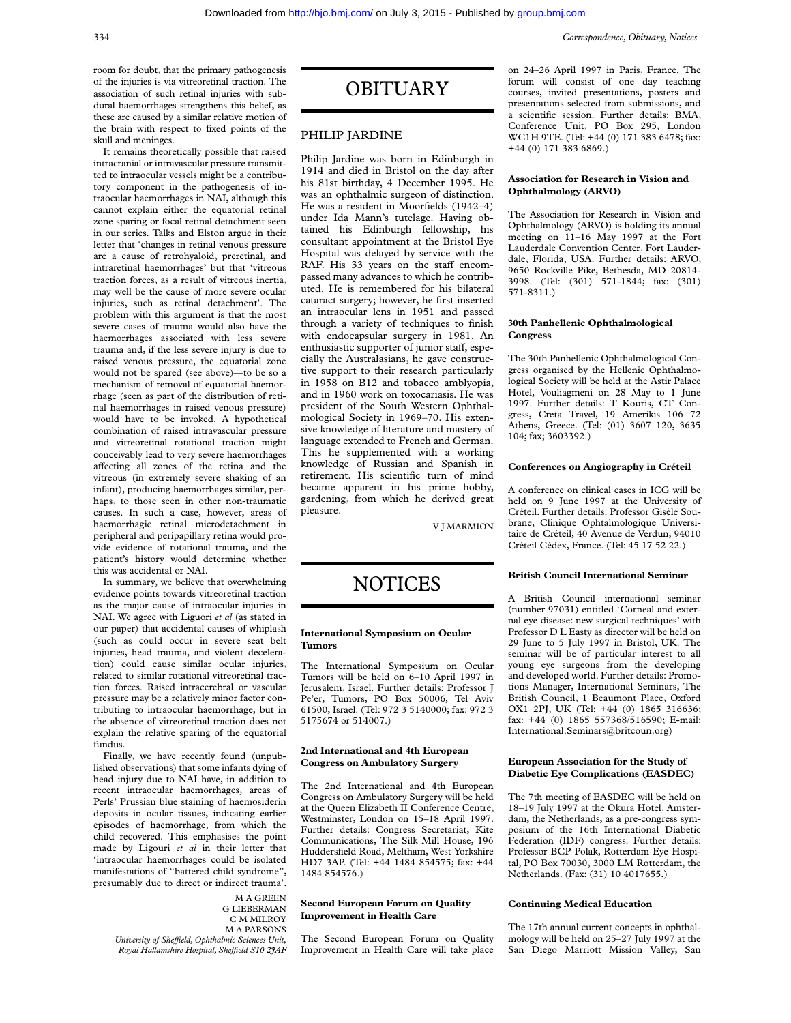334 *Correspondence, Obituary, Notices*

room for doubt, that the primary pathogenesis of the injuries is via vitreoretinal traction. The association of such retinal injuries with subdural haemorrhages strengthens this belief, as these are caused by a similar relative motion of the brain with respect to fixed points of the skull and meninges.

It remains theoretically possible that raised intracranial or intravascular pressure transmitted to intraocular vessels might be a contributory component in the pathogenesis of intraocular haemorrhages in NAI, although this cannot explain either the equatorial retinal zone sparing or focal retinal detachment seen in our series. Talks and Elston argue in their letter that 'changes in retinal venous pressure are a cause of retrohyaloid, preretinal, and intraretinal haemorrhages' but that 'vitreous traction forces, as a result of vitreous inertia, may well be the cause of more severe ocular injuries, such as retinal detachment'. The problem with this argument is that the most severe cases of trauma would also have the haemorrhages associated with less severe trauma and, if the less severe injury is due to raised venous pressure, the equatorial zone would not be spared (see above)—to be so a mechanism of removal of equatorial haemorrhage (seen as part of the distribution of retinal haemorrhages in raised venous pressure) would have to be invoked. A hypothetical combination of raised intravascular pressure and vitreoretinal rotational traction might conceivably lead to very severe haemorrhages affecting all zones of the retina and the vitreous (in extremely severe shaking of an infant), producing haemorrhages similar, perhaps, to those seen in other non-traumatic causes. In such a case, however, areas of haemorrhagic retinal microdetachment in peripheral and peripapillary retina would provide evidence of rotational trauma, and the patient's history would determine whether this was accidental or NAI.

In summary, we believe that overwhelming evidence points towards vitreoretinal traction as the major cause of intraocular injuries in NAI. We agree with Liguori *et al* (as stated in our paper) that accidental causes of whiplash (such as could occur in severe seat belt injuries, head trauma, and violent deceleration) could cause similar ocular injuries, related to similar rotational vitreoretinal traction forces. Raised intracerebral or vascular pressure may be a relatively minor factor contributing to intraocular haemorrhage, but in the absence of vitreoretinal traction does not explain the relative sparing of the equatorial fundus.

Finally, we have recently found (unpublished observations) that some infants dying of head injury due to NAI have, in addition to recent intraocular haemorrhages, areas of Perls' Prussian blue staining of haemosiderin deposits in ocular tissues, indicating earlier episodes of haemorrhage, from which the child recovered. This emphasises the point made by Ligouri *et al* in their letter that 'intraocular haemorrhages could be isolated manifestations of "battered child syndrome", presumably due to direct or indirect trauma'.

> M A GREEN **G LIEBERMAN** C M MILROY M A PARSONS *University of SheYeld, Ophthalmic Sciences Unit, Royal Hallamshire Hospital, SheYeld S10 2JAF*

# **OBITUARY**

## PHILIP JARDINE

Philip Jardine was born in Edinburgh in 1914 and died in Bristol on the day after his 81st birthday, 4 December 1995. He was an ophthalmic surgeon of distinction. He was a resident in Moorfields (1942–4) under Ida Mann's tutelage. Having obtained his Edinburgh fellowship, his consultant appointment at the Bristol Eye Hospital was delayed by service with the RAF. His 33 years on the staff encompassed many advances to which he contributed. He is remembered for his bilateral cataract surgery; however, he first inserted an intraocular lens in 1951 and passed through a variety of techniques to finish with endocapsular surgery in 1981. An enthusiastic supporter of junior staff, especially the Australasians, he gave constructive support to their research particularly in 1958 on B12 and tobacco amblyopia, and in 1960 work on toxocariasis. He was president of the South Western Ophthalmological Society in 1969–70. His extensive knowledge of literature and mastery of language extended to French and German. This he supplemented with a working knowledge of Russian and Spanish in retirement. His scientific turn of mind became apparent in his prime hobby, gardening, from which he derived great pleasure.

V J MARMION

## **NOTICES**

### **International Symposium on Ocular Tumors**

The International Symposium on Ocular Tumors will be held on 6–10 April 1997 in Jerusalem, Israel. Further details: Professor J Pe'er, Tumors, PO Box 50006, Tel Aviv 61500, Israel. (Tel: 972 3 5140000; fax: 972 3 5175674 or 514007.)

## **2nd International and 4th European Congress on Ambulatory Surgery**

The 2nd International and 4th European Congress on Ambulatory Surgery will be held at the Queen Elizabeth II Conference Centre, Westminster, London on 15–18 April 1997. Further details: Congress Secretariat, Kite Communications, The Silk Mill House, 196 Huddersfield Road, Meltham, West Yorkshire HD7 3AP. (Tel: +44 1484 854575; fax: +44 1484 854576.)

## **Second European Forum on Quality Improvement in Health Care**

The Second European Forum on Quality Improvement in Health Care will take place on 24–26 April 1997 in Paris, France. The forum will consist of one day teaching courses, invited presentations, posters and presentations selected from submissions, and a scientific session. Further details: BMA, Conference Unit, PO Box 295, London WC1H 9TE. (Tel: +44 (0) 171 383 6478; fax: +44 (0) 171 383 6869.)

## **Association for Research in Vision and Ophthalmology (ARVO)**

The Association for Research in Vision and Ophthalmology (ARVO) is holding its annual meeting on 11–16 May 1997 at the Fort Lauderdale Convention Center, Fort Lauderdale, Florida, USA. Further details: ARVO, 9650 Rockville Pike, Bethesda, MD 20814- 3998. (Tel: (301) 571-1844; fax: (301) 571-8311.)

## **30th Panhellenic Ophthalmological Congress**

The 30th Panhellenic Ophthalmological Congress organised by the Hellenic Ophthalmological Society will be held at the Astir Palace Hotel, Vouliagmeni on 28 May to 1 June 1997. Further details: T Kouris, CT Congress, Creta Travel, 19 Amerikis 106 72 Athens, Greece. (Tel: (01) 3607 120, 3635 104; fax; 3603392.)

## **Conferences on Angiography in Créteil**

A conference on clinical cases in ICG will be held on 9 June 1997 at the University of Créteil. Further details: Professor Gisèle Soubrane, Clinique Ophtalmologique Universitaire de Créteil, 40 Avenue de Verdun, 94010 Créteil Cédex, France. (Tel: 45 17 52 22.)

### **British Council International Seminar**

A British Council international seminar (number 97031) entitled 'Corneal and external eye disease: new surgical techniques' with Professor D L Easty as director will be held on 29 June to 5 July 1997 in Bristol, UK. The seminar will be of particular interest to all young eye surgeons from the developing and developed world. Further details: Promotions Manager, International Seminars, The British Council, 1 Beaumont Place, Oxford OX1 2PJ, UK (Tel: +44 (0) 1865 316636; fax: +44 (0) 1865 557368/516590; E-mail: International.Seminars@britcoun.org)

## **European Association for the Study of Diabetic Eye Complications (EASDEC)**

The 7th meeting of EASDEC will be held on 18-19 July 1997 at the Okura Hotel, Amsterdam, the Netherlands, as a pre-congress symposium of the 16th International Diabetic Federation (IDF) congress. Further details: Professor BCP Polak, Rotterdam Eye Hospital, PO Box 70030, 3000 LM Rotterdam, the Netherlands. (Fax: (31) 10 4017655.)

### **Continuing Medical Education**

The 17th annual current concepts in ophthalmology will be held on 25–27 July 1997 at the San Diego Marriott Mission Valley, San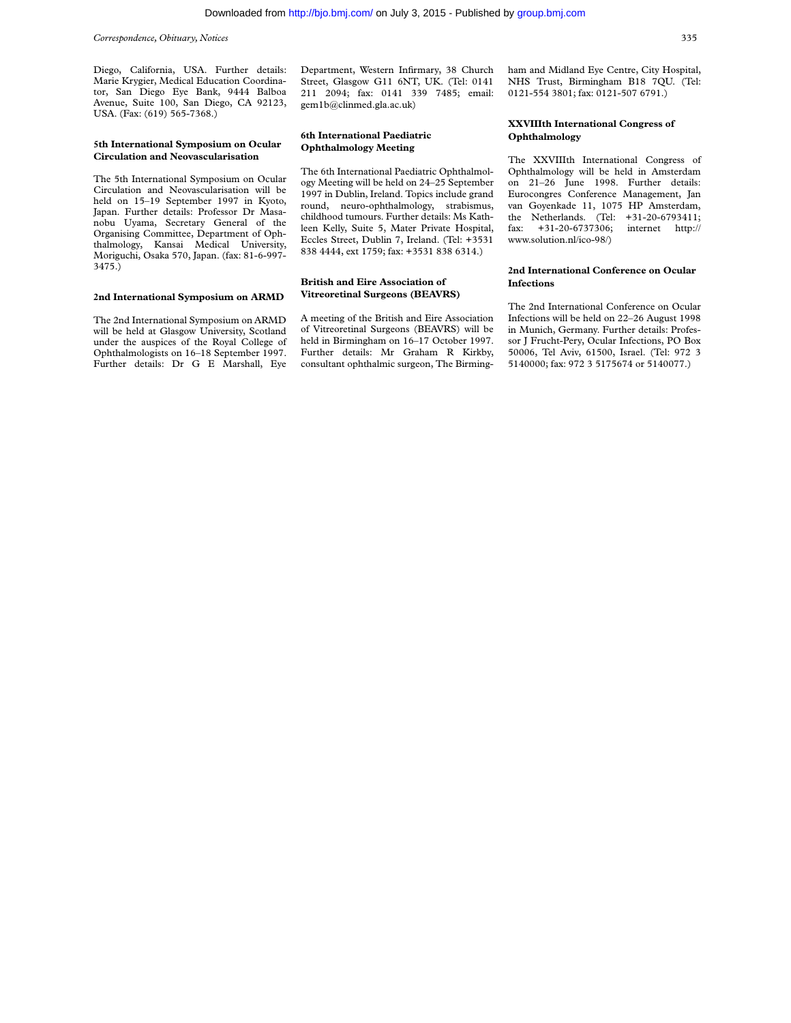Diego, California, USA. Further details: Marie Krygier, Medical Education Coordinator, San Diego Eye Bank, 9444 Balboa Avenue, Suite 100, San Diego, CA 92123, USA. (Fax: (619) 565-7368.)

## **5th International Symposium on Ocular Circulation and Neovascularisation**

The 5th International Symposium on Ocular Circulation and Neovascularisation will be held on 15–19 September 1997 in Kyoto, Japan. Further details: Professor Dr Masanobu Uyama, Secretary General of the Organising Committee, Department of Ophthalmology, Kansai Medical University, Moriguchi, Osaka 570, Japan. (fax: 81-6-997- 3475.)

## **2nd International Symposium on ARMD**

The 2nd International Symposium on ARMD will be held at Glasgow University, Scotland under the auspices of the Royal College of Ophthalmologists on 16–18 September 1997. Further details: Dr G E Marshall, Eye Department, Western Infirmary, 38 Church Street, Glasgow G11 6NT, UK. (Tel: 0141 211 2094; fax: 0141 339 7485; email: gem1b@clinmed.gla.ac.uk)

## **6th International Paediatric Ophthalmology Meeting**

The 6th International Paediatric Ophthalmology Meeting will be held on 24–25 September 1997 in Dublin, Ireland. Topics include grand round, neuro-ophthalmology, strabismus, childhood tumours. Further details: Ms Kathleen Kelly, Suite 5, Mater Private Hospital, Eccles Street, Dublin 7, Ireland. (Tel: +3531 838 4444, ext 1759; fax: +3531 838 6314.)

### **British and Eire Association of Vitreoretinal Surgeons (BEAVRS)**

A meeting of the British and Eire Association of Vitreoretinal Surgeons (BEAVRS) will be held in Birmingham on 16–17 October 1997. Further details: Mr Graham R Kirkby, consultant ophthalmic surgeon, The Birmingham and Midland Eye Centre, City Hospital, NHS Trust, Birmingham B18 7QU. (Tel: 0121-554 3801; fax: 0121-507 6791.)

## **XXVIIIth International Congress of Ophthalmology**

The XXVIIIth International Congress of Ophthalmology will be held in Amsterdam on 21–26 June 1998. Further details: Eurocongres Conference Management, Jan van Goyenkade 11, 1075 HP Amsterdam, the Netherlands. (Tel: +31-20-6793411; fax: +31-20-6737306; internet http:// www.solution.nl/ico-98/)

### **2nd International Conference on Ocular Infections**

The 2nd International Conference on Ocular Infections will be held on 22–26 August 1998 in Munich, Germany. Further details: Professor J Frucht-Pery, Ocular Infections, PO Box 50006, Tel Aviv, 61500, Israel. (Tel: 972 3 5140000; fax: 972 3 5175674 or 5140077.)